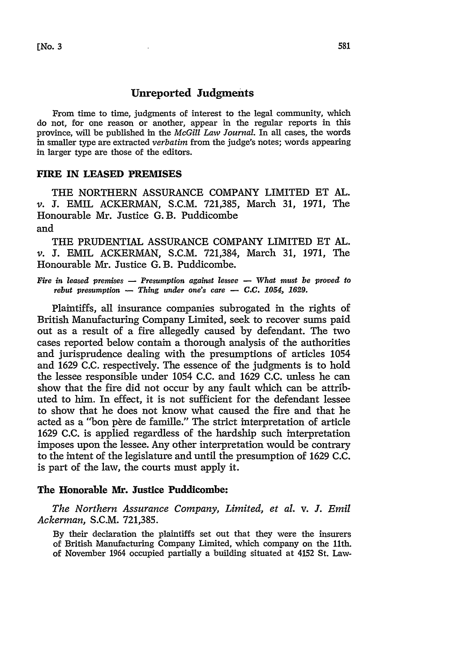# **Unreported Judgments**

From time to time, judgments of interest to the legal community, which do not, for one reason or another, appear in the regular reports in this province, will be published in the *McGill Law Journal.* In all cases, the words in smaller type are extracted *verbatim* from the judge's notes; words appearing in larger type are those of the editors.

## **FIRE** IN **LEASED** PREMISES

THE NORTHERN **ASSURANCE** COMPANY LIMITED **ET AL.** *v.* **J.** EMIL ACKERMAN, **S.C.M. 721,385,** March **31, 1971,** The Honourable Mr. Justice G.B. Puddicombe and

THE PRUDENTIAL ASSURANCE COMPANY LIMITED ET AL. *v.* J. EMIL ACKERMAN, S.C.M. 721,384, March 31, 1971, The Honourable Mr. Justice G. B. Puddicombe.

*Fire in leased premises - Presumption against lessee - What must be proved to rebut presumption* - *Thing under one's care* - *C.C. 1054, 1629.* 

Plaintiffs, all insurance companies subrogated in the rights of British Manufacturing Company Limited, seek to recover sums paid out as a result of a fire allegedly caused by defendant. The two cases reported below contain a thorough analysis of the authorities and jurisprudence dealing with the presumptions of articles 1054 and 1629 C.C. respectively. The essence of the judgments is to hold the lessee responsible under 1054 C.C. and 1629 C.C. unless he can show that the fire did not occur by any fault which can be attributed to him. In effect, it is not sufficient for the defendant lessee to show that he does not know what caused the fire and that he acted as a "bon père de famille." The strict interpretation of article 1629 **C.C.** is applied regardless of the hardship such interpretation imposes upon the lessee. Any other interpretation would be contrary to the intent of the legislature and until the presumption of 1629 **C.C.** is part of the law, the courts must apply it.

# The Honorable **Mr.** Justice Puddicombe:

*The Northern Assurance Company, Limited, et al.* v. *J. Emil Ackerman,* S.C.M. 721,385.

By their declaration the plaintiffs set out that they were the insurers of British Manufacturing Company Limited, which company on the 11th. of November 1964 occupied partially a building situated at 4152 St. Law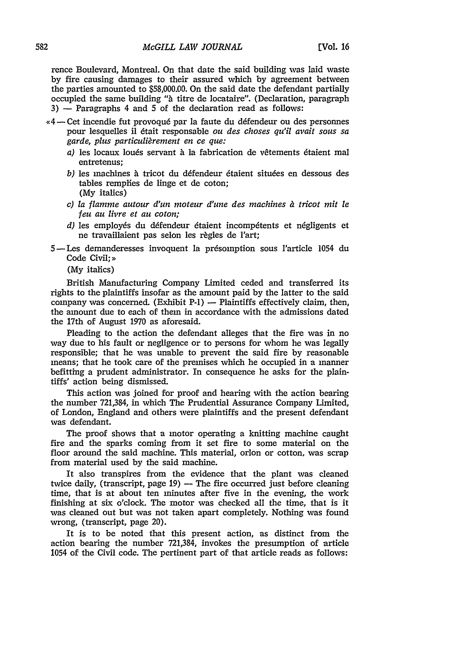rence Boulevard, Montreal. On that date the said building was laid waste by fire causing damages to their assured which by agreement between the parties amounted to \$58,000.00. On the said date the defendant partially occupied the same building *"i* titre de locataire". (Declaration, paragraph  $3$ )  $-$  Paragraphs 4 and 5 of the declaration read as follows:

- *,4-* Cet incendie fut provoqu6 par la faute du d6fendeur ou des personnes pour lesquelles il dtait responsable *ou des choses qu'il avait sous sa garde, plus particulirement en ce que:*
	- *a)* les locaux loués servant à la fabrication de vêtements étaient mal entretenus;
	- b) les machines à tricot du défendeur étaient situées en dessous des tables remplies de linge et de coton; (My italics)
	- *c) la flamme autour d'un moteur d'une des machines 1 tricot mit le feu au livre et au coton;*
	- *d*) les employés du défendeur étaient incompétents et négligents et ne travaillaient pas selon les règles de l'art;
	- 5- Les demanderesses invoquent la présomption sous l'article 1054 du Code Civil:»

(My italics)

British Manufacturing Company Limited ceded and transferred its rights to the plaintiffs insofar as the amount paid by the latter to the said company was concerned. (Exhibit P-1)  $-$  Plaintiffs effectively claim, then, the amount due to each of them in accordance with the admissions dated the 17th of August 1970 as aforesaid.

Pleading to the action the defendant alleges that the fire was in no way due to his fault or negligence or to persons for whom he was legally responsible; that he was unable to prevent the said fire by reasonable means; that he took care of the premises which he occupied in a manner befitting a prudent administrator. In consequence he asks for the plaintiffs' action being dismissed.

This action was joined for proof and hearing with the action bearing the number 721,384, in which The Prudential Assurance Company Limited, of London, England and others were plaintiffs and the present defendant was defendant.

The proof shows that a motor operating a knitting machine caught fire and the sparks coming from it set fire to some material on the floor around the said machine. This material, orlon or cotton, was scrap from material used by the said machine.

It also transpires from the evidence that the plant was cleaned twice daily, (transcript, page 19) - The fire occurred just before cleaning time, that is at about ten minutes after five in the evening, the work finishing at six o'clock. The motor was checked all the time, that is it was cleaned out but was not taken apart completely. Nothing was found wrong, (transcript, page 20).

It is to be noted that this present action, as distinct from the action bearing the number 721,384, invokes the presumption of article 1054 of the Civil code. The pertinent part of that article reads as follows: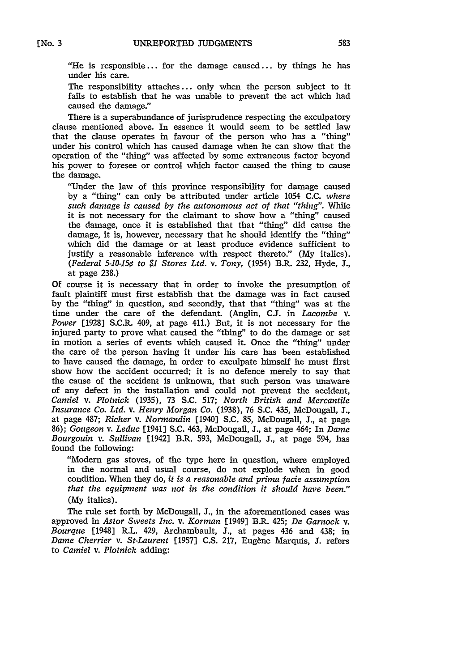"He is responsible... for the damage caused... by things he has under his care.

The responsibility attaches **...** only when the person subject to it fails to establish that he was unable to prevent the act which had caused the damage."

There is a superabundance of jurisprudence respecting the exculpatory clause mentioned above. In essence it would seem to be settled law that the clause operates in favour of the person who has a "thing" under his control which has caused damage when he can show that the operation of the "thing" was affected by some extraneous factor beyond his power to foresee or control which factor caused the thing to cause the damage.

"Under the law of this province responsibility for damage caused by a "thing" can only be attributed under article 1054 C.C. *where such damage is caused by the autonomous act of that "thing".* While it is not necessary for the claimant to show how a "thing" caused the damage, once it is established that that "thing" did cause the damage, it is, however, necessary that he should identify the "thing" which did the damage or at least produce evidence sufficient to justify a reasonable inference with respect thereto." (My italics). *(Federal 5-10-150 to \$1 Stores Ltd. v. Tony,* (1954) B.R. 232, Hyde, **J.,** at page 238.)

Of course it is necessary that in order to invoke the presumption of fault plaintiff must first establish that the damage was in fact caused by the "thing" in question, and secondly, that that "thing" was at the time under the care of the defendant. (Anglin, C.J. in *Lacombe* v. Power [1928] S.C.R. 409, at page 411.) But, it is not necessary for the injured party to prove what caused the "thing" to do the damage or set in motion a series of events which caused it. Once the "thing" under the care of the person having it under his care has been established to have caused the damage, in order to exculpate himself he must first show how the accident occurred; it is no defence merely to say that the cause of the accident is unknown, that such person was unaware of any defect in the installation and could not prevent the accident, *Camiel v. Plotnick* (1935), 73 S.C. 517; *North British and Mercantile Insurance Co. Ltd. v. Henry Morgan Co.* (1938), 76 S.C. 435, McDougall, *I.,* at page 487; *Richer v. Normandin* [1940] S.C. 85, McDougall, **J.,** at page 86); *Gougeon v. Leduc* [1941] S.C. 463, McDougall, **J.,** at page 464; In *Dame Bourgouin v. Sullivan* [1942] B.R. 593, McDougall, J., at page 594, has found the following:

"Modern gas stoves, of the type here in question, where employed in the normal and usual course, do not explode when in good condition. When they do, *it is a reasonable and prima facie assumption* that the equipment was not in the condition it should have been." (My italics).

The rule set forth by McDougall, **J.,** in the aforementioned cases was approved in *Astor Sweets Inc. v. Korman* [1949] B.R. 425; *De Garnock v. Bourque* [1948] R.L. 429, Archambault, **J.,** at pages 436 and 438; in *Dame Cherrier v. St-Laurent* [1957] C.S. 217, Eugene Marquis, **J.** refers to *Camiel v. Plotnick* adding: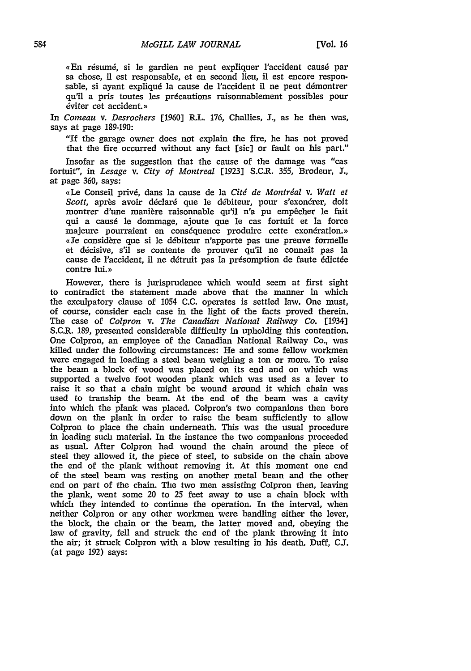«En résumé, si le gardien ne peut expliquer l'accident causé par sa chose, il est responsable, et en second lieu, il est encore responsable, si ayant expliqué la cause de l'accident il ne peut démontrer qu'il a pris toutes les precautions raisonnablement possibles pour éviter cet accident.»

In *Comeau v. Desrochers* [1960] R.L. 176, Challies, **J.,** as he then was, says at page 189-190:

"If the garage owner does not explain the fire, he has not proved that the fire occurred without any fact [sic] or fault on his part."

Insofar as the suggestion that the cause of the damage was "cas fortuit", in *Lesage v. City of Montreal* [1923] S.C.R. 355, Brodeur, **J.,** at page 360, says:

,(Le Conseil priv6, dans **la** cause de **la** *Citd de Montrdal v. Watt et* Scott, après avoir déclaré que le débiteur, pour s'exonérer, doit montrer d'une manière raisonnable qu'il n'a pu empêcher le fait qui a caus6 le dommage, ajoute que le cas fortuit et la force majeure pourraient en conséquence produire cette exonération.» «Je considère que si le débiteur n'apporte pas une preuve formelle et décisive, s'il se contente de prouver qu'il ne connaît pas la cause de l'accident, il ne détruit pas la présomption de faute édictée contre lui.»

However, there is jurisprudence which would seem at first sight to contradict the statement made above that the manner in which the exculpatory clause of 1054 C.C. operates is settled law. One must, of course, consider each case in the light of the facts proved therein. The case of *Colpron v. The Canadian National Railway Co.* [1934] S.C.R. 189, presented considerable difficulty in upholding this contention. One Colpron, an employee of the Canadian National Railway Co., was killed under the following circumstances: He and some fellow workmen were engaged in loading a steel beam weighing a ton or more. To raise the beam a block of wood was placed on its end and on which was supported a twelve foot wooden plank which was used as a lever to raise it so that a chain might be wound around it which chain was used to tranship the beam. At the end of the beam was a cavity into which the plank was placed. Colpron's two companions then bore down on the plank in order to raise the beam sufficiently to allow Colpron to place the chain underneath. This was the usual procedure in loading such material. In the instance the two companions proceeded as usual. After Colpron had wound the chain around the piece of steel they allowed it, the piece of steel, to subside on the chain above the end of the plank without removing it. At this moment one end of the steel beam was resting on another metal beam and the other end on part of the chain. The two men assisting Colpron then, leaving the plank, went some 20 to 25 feet away to use a chain block with which they intended to continue the operation. In the interval, when neither Colpron or any other workmen were handling either the lever, the block, the chain or the beam, the latter moved and, obeying the law of gravity, fell and struck the end of the plank throwing it into the air; it struck Colpron with a blow resulting in his death. Duff, **C.S.** (at page 192) says: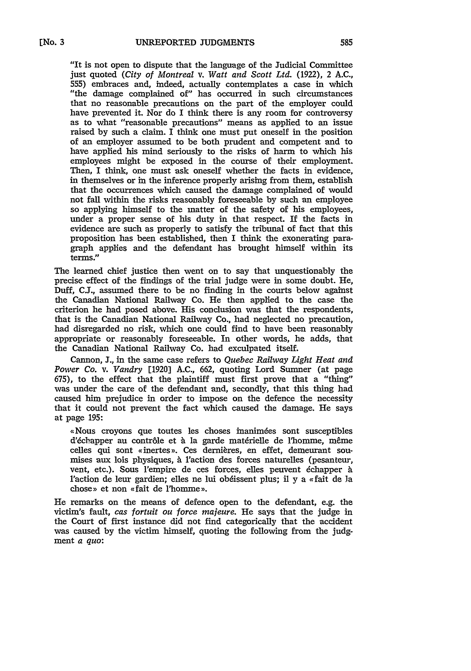"It is not open to dispute that the language of the Judicial Committee just quoted *(City of Montreal v. Watt and Scott Ltd.* (1922), 2 A.C., 555) embraces and, indeed, actually contemplates a case in which "the damage complained of" has occurred in such circumstances that no reasonable precautions on the part of the employer could have prevented it. Nor do I think there is any room for controversy as to what "reasonable precautions" means as applied to an issue raised by such a claim. I think one must put oneself in the position of an employer assumed to be both prudent and competent and to have applied his mind seriously to the risks of harm to which his employees might be exposed in the course of their employment. Then, I think, one must ask oneself whether the facts in evidence, in themselves or in the inference properly arising from them, establish that the occurrences which caused the damage complained of would not fall within the risks reasonably foreseeable by such an employee so applying himself to the matter of the safety of his employees, under a proper sense of his duty in that respect. If the facts in evidence are such as properly to satisfy the tribunal of fact that this proposition has been established, then I think the exonerating paragraph applies and the defendant has brought himself within its terms."

The learned chief justice then went on to say that unquestionably the precise effect of the findings of the trial judge were in some doubt. He, Duff, **CJ.,** assumed there to be no finding in the courts below against the Canadian National Railway Co. He then applied to the case the criterion he had posed above. His conclusion was that the respondents, that is the Canadian National Railway Co., had neglected no precaution, had disregarded no risk, which one could find to have been reasonably appropriate or reasonably foreseeable. In other words, he adds, that the Canadian National Railway Co. had exculpated itself.

Cannon, *J.,* in the same case refers to *Quebec Railway Light Heat and Power Co. v. Vandry* [1920] **A.C.,** 662, quoting Lord Sumner (at page **675),** to the effect that the plaintiff must first prove that a "thing" was under the care of the defendant and, secondly, that this thing had caused him prejudice in order to impose on the defence the necessity that it could not prevent the fact which caused the damage. He says at page **195:**

«Nous croyons que toutes les choses inanimées sont susceptibles d'échapper au contrôle et à la garde matérielle de l'homme, même celles qui sont «inertes». Ces dernières, en effet, demeurant soumises aux lois physiques, **h** l'action des forces naturelles (pesanteur, vent, etc.). Sous l'empire de ces forces, elles peuvent échapper à l'action de leur gardien; elles ne lui obéissent plus; il y a «fait de la chose» et non «fait de l'homme».

He remarks on the means of defence open to the defendant, e.g. the victim's fault, *cas fortuit ou force majeure.* He says that the judge in the Court of first instance did not find categorically that the accident was caused **by** the victim himself, quoting the following from the **judg**ment *a quo:*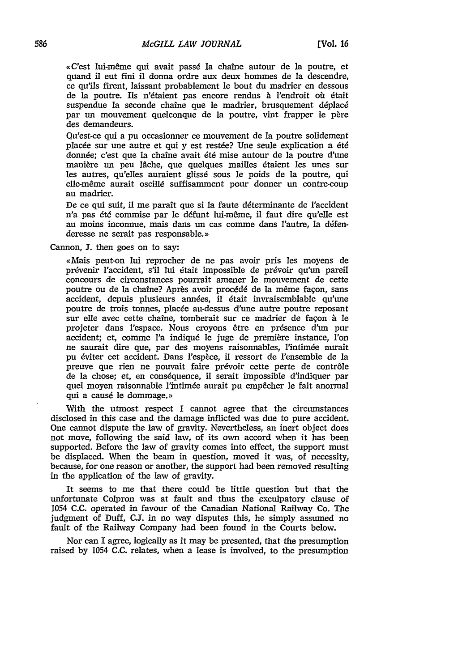,C'est lui-m me qui avait pass6 la chaine autour de **la** poutre, et quand il eut fini il donna ordre aux deutx hommes de la descendre, ce qu'ils firent, laissant probablement le bout du madrier en dessous de la poutre. Ils n'étaient pas encore rendus à l'endroit où était suspendue la seconde chaîne que le madrier, brusquement déplacé par un mouvement quelconque de la poutre, vint frapper le père des demandeurs.

Qu'est-ce qui a pu occasionner ce mouvement de la poutre solidement placde sur une autre et qui y est restde? Une seule explication a *6td* donnée; c'est que la chaîne avait été mise autour de la poutre d'une manière un peu lâche, que quelques mailles étaient les unes sur les autres, qu'elles auraient glissé sous le poids de la poutre, qui elle-même aurait oscillé suffisamment pour donner un contre-coup au madrier.

De ce qui suit, il me paraît que si la faute déterminante de l'accident n'a pas été commise par le défunt lui-même, il faut dire qu'elle est au moins inconnue, mais dans un cas comme dans l'autre, la défenderesse ne serait pas responsable.»

Cannon, **J.** then goes on to say:

«Mais peut-on lui reprocher de ne pas avoir pris les moyens de prévenir l'accident, s'il lui était impossible de prévoir qu'un pareil concours de circonstances pourrait amener le mouvement de cette poutre ou de la chaîne? Après avoir procédé de la même façon, sans accident, depuis plusieurs années, il était invraisemblable qu'une poutre de trois tonnes, placée au-dessus d'une autre poutre reposant sur elle avec cette chaîne, tomberait sur ce madrier de façon à le projeter dans l'espace. Nous croyons 6tre en presence d'tn pur accident; et, comme l'a indiqué le juge de première instance, l'on ne saurait dire que, par des moyens raisonnables, l'intimée aurait pu éviter cet accident. Dans l'espèce, il ressort de l'ensemble de la preuve que rien ne pouvait faire prévoir cette perte de contrôle de la chose; et, en cons6quence, **i1** serait impossible d'indiquer par quel moyen raisonnable l'intimée aurait pu empêcher le fait anormal qui a causé le dommage.»

With the utmost respect I cannot agree that the circumstances disclosed in this case and the damage inflicted was due to pure accident. One cannot dispute the law of gravity. Nevertheless, an inert object does not move, following the said law, of its own accord when it has been supported. Before the law of gravity comes into effect, the support must be displaced. When the beam in question, moved it was, of necessity, because, for one reason or another, the support had been removed resulting in the application of the law of gravity.

It seems to me that there could be little question but that the unfortunate Colpron was at fault and thus the exculpatory clause of 1054 C.C. operated in favour of the Canadian National Railway Co. The judgment of Duff, **C.J.** in no way disputes this, he simply assumed no fault of the Railway Company had been found in the Courts below.

Nor can I agree, logically as it may be presented, that the presumption raised by 1054 C.C. relates, when a lease is involved, to the presumption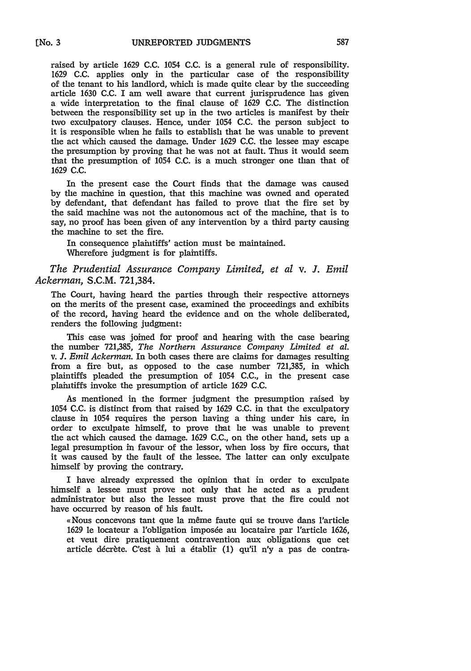raised **by** article **1629 C.C.** 1054 **C.C.** is a general rule of responsibility. **1629 C.C.** applies only in the particular case of the responsibility of the tenant to his landlord, which is made quite clear by the succeeding article 1630 **C.C.** I am well aware that current jurisprudence has given a wide interpretation to the final clause of **1629 C.C.** The distinction between the responsibility set up in the two articles is manifest by their two exculpatory clauses. Hence, under 1054 C.C. the person subject to it is responsible when he fails to establish that he was unable to prevent the act which caused the damage. Under **1629** C.C. the lessee may escape the presumption by proving that he was not at fault. Thus it would seem that the presumption of 1054 C.C. is a much stronger one than that of **1629 C.C.**

In the present case the Court finds that the damage was caused by the machine in question, that this machine was owned and operated by defendant, that defendant has failed to prove that the fire set **by** the said machine was not the autonomous act of the machine, that is to say, no proof has been given of any intervention by a third party causing the machine to set the fire.

In consequence plaintiffs' action must be maintained. Wherefore judgment is for plaintiffs.

*The Prudential Assurance Company Limited, et al v. J. Emil Ackerman,* S.C.M. 721,384.

The Court, having heard the parties through their respective attorneys on the merits of the present case, examined the proceedings and exhibits of the record, having heard the evidence and on the whole deliberated, renders the following judgment:

This case was joined for proof and hearing with the case bearing the number 721,385, *The Northern Assurance Company Limited et al.* v. *J. Emil Ackerman.* In both cases there are claims for damages resulting from a fire but, as opposed to the case number 721,385, in which plaintiffs pleaded the presumption of 1054 **C.C.,** in the present case plaintiffs invoke the presumption of article 1629 C.C.

As mentioned in the former judgment the presumption raised by 1054 C.C. is distinct from that raised by 1629 C.C. in that the exculpatory clause in 1054 requires the person having a thing under his care, in order to exculpate himself, to prove that he was unable to prevent the act which caused the damage. 1629 C.C., on the other hand, sets up a legal presumption in favour of the lessor, when loss by fire occurs, that it was caused by the fault of the lessee. The latter can only exculpate himself by proving the contrary.

I have already expressed the opinion that in order to exculpate himself a lessee must prove not only that he acted as a prudent administrator but also the lessee must prove that the fire could not have occurred by reason of his fault.

«Nous concevons tant que la même faute qui se trouve dans l'article 1629 le locateur a l'obligation imposée au locataire par l'article 1626, et veut dire pratiquement contravention aux obligations que cet article décrète. C'est à lui a établir (1) qu'il n'y a pas de contra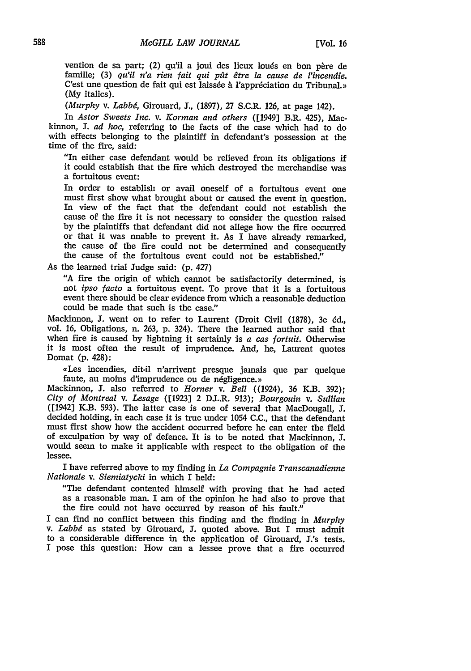vention de sa part; (2) qu'il a joui des lieux loués en bon père de famille; (3) *qu'il n'a rien fait qui pat dtre la cause de l'incendie.* C'est une question de fait qui est laissée à l'appréciation du Tribunal.» (My italics).

*(Murphy v. Labbg,* Girouard, **1.,** (1897), 27 S.C.R. 126, at page 142).

In *Astor Sweets Inc. v. Korman and others* ([1949] B.R. 425), Mackinnon, **J.** *ad hoc,* referring to the facts of the case which had to do with effects belonging to the plaintiff in defendant's possession at the time of the fire, said:

"In either case defendant would be relieved from its obligations if it could establish that the fire which destroyed the merchandise was a fortuitous event:

In order to establish or avail oneself of a fortuitous event one must first show what brought about or caused the event in question. In view of the fact that the defendant could not establish the cause of the fire it is not necessary to consider the question raised by the plaintiffs that defendant did not allege how the fire occurred or that it was nnable to prevent it. As I have already remarked, the cause of the fire could not be determined and consequently the cause of the fortuitous event could not be established."

As the learned trial Judge said: (p. 427)

"A fire the origin of which cannot be satisfactorily determined, is not *ipso facto* a fortuitous event. To prove that it is a fortuitous event there should be clear evidence from which a reasonable deduction could be made that such is the case."

Mackinnon, **J.** went on to refer to Laurent (Droit Civil (1878), 3e *6d.,* vol. 16, Obligations, n. 263, p. 324). There the learned author said that when fire is caused by lightning it sertainly is *a cas fortuit.* Otherwise it is most often the result of imprudence. And, he, Laurent quotes Domat **(p.** 428):

«Les incendies, dit-il n'arrivent presque jamais que par quelque faute, au moins d'imprudence ou de négligence.»

Mackinnon, **J.** also referred to *Homer v. Bell* ((1924), 36 K.B. 392); *City of Montreal v. Lesage* ([1923] 2 D.L.R. 913); *Bourgouin v. Sullian* ([1942] K.B. 593). The latter case is one of several that MacDougall, **J.** decided holding, in each case it is true under 1054 **C.C.,** that the defendant must first show how the accident occurred before he can enter the field of exculpation by way of defence. It is to be noted that Mackinnon, 3. would seem to make it applicable with respect to the obligation of the lessee.

I have referred above to my finding in *La Compagnie Transcanadienne Nationale v. Siemiatycki* in which I held:

"The defendant contented himself with proving that he had acted as a reasonable man. I am of the opinion he had also to prove that the fire could not have occurred by reason of his fault."

I can find no conflict between this finding and the finding in *Murphy v. Labbd* as stated by Girouard, **J.** quoted above. But I must admit to a considerable difference in the application of Girouard, J.'s tests. I pose this question: How can a lessee prove that a fire occurred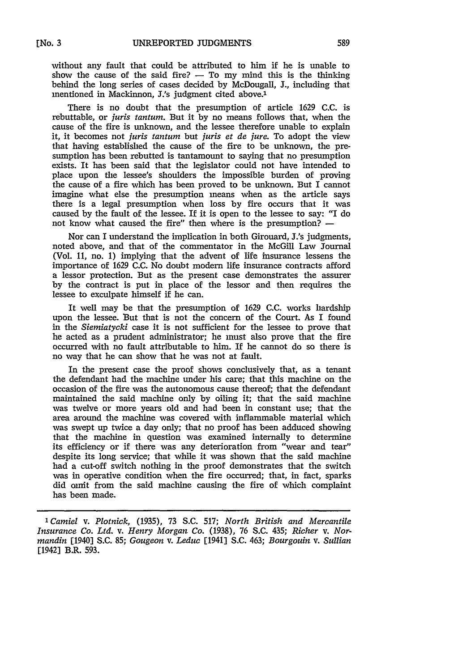without any fault that could be attributed to him if he is unable to show the cause of the said fire?  $-$  To my mind this is the thinking behind the long series of cases decided by McDougall, J., including that mentioned in Mackinnon, J.'s judgment cited above.<sup>1</sup>

There is no doubt that the presumption of article 1629 C.C. is rebuttable, or *juris tantum.* But it by no means follows that, when the cause of the fire is unknown, and the lessee therefore unable to explain it, it becomes not *juris tantum* but *juris et de jure.* To adopt the view that having established the cause of the fire to be unknown, the presumption has been rebutted is tantamount to saying that no presumption exists. It has been said that the legislator could not have intended to place upon the lessee's shoulders the impossible burden of proving the cause of a fire which has been proved to be unknown. But I cannot imagine what else the presumption means when as the article says there is a legal presumption when loss by fire occurs that it was caused by the fault of the lessee. If it is open to the lessee to say: "I do not know what caused the fire" then where is the presumption? **-**

Nor can I understand the implication in both Girouard, J.'s judgments, noted above, and that of the commentator in the McGill Law Journal (Vol. 11, no. 1) implying that the advent of life insurance lessens the importance of 1629 C.C. No doubt modern life insurance contracts afford a lessor protection. But as the present case demonstrates the assurer by the contract is put in place of the lessor and then requires the lessee to exculpate himself if he can.

It well may be that the presumption of 1629 C.C. works hardship upon the lessee. But that is not the concern of the Court. As I found in the *Siemiatycki* case it is not sufficient for the lessee to prove that he acted as a prudent administrator; he must also prove that the fire occurred with no fault attributable to him. If he cannot do so there is no way that he can show that he was not at fault.

In the present case the proof shows conclusively that, as a tenant the defendant had the machine under his care; that this machine on the occasion of the fire was the autonomous cause thereof; that the defendant maintained the said machine only by oiling it; that the said machine was twelve or more years old and had been in constant use; that the area around the machine was covered with inflammable material which was swept up twice a day only; that no proof has been adduced showing that the machine in question was examined internally to determine its efficiency or if there was any deterioration from "wear and tear" despite its long service; that while it was shown that the said machine had a cut-off switch nothing in the proof demonstrates that the switch was in operative condition when the fire occurred; that, in fact, sparks did omit from the said machine causing the fire of which complaint has been made.

*ICamiel v. Plotnick,* (1935), 73 S.C. 517; *North British and Mercantile Insurance Co. Ltd. v. Henry Morgan Co.* (1938), 76 S.C. 435; *Richer v. Normandin* [1940] S.C. 85; *Gougeon v. Leduc* [1941] S.C. 463; *Bourgouin v. Sullian* [1942J B.R. 593.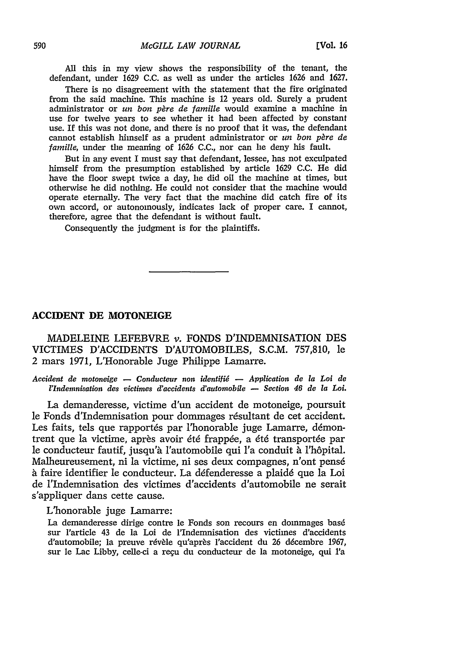**All** this in my view shows the responsibility of the tenant, the defendant, under 1629 C.C. as well as under the articles 1626 and 1627.

There is no disagreement with the statement that the fire originated from the said machine. This machine is 12 years old. Surely a prudent administrator or *un bon père de famille* would examine a machine in use for twelve years to see whether it had been affected by constant use. If this was not done, and there is no proof that it was, the defendant cannot establish himself as a prudent administrator or *un bon père de famille,* under the meaning of 1626 C.C., nor can he deny his fault.

But in any event I must say that defendant, lessee, has not exculpated himself from the presumption established by article 1629 C.C. He did have the floor swept twice a day, he did oil the machine at times, but otherwise he did nothing. He could not consider that the machine would operate eternally. The very fact that the machine did catch fire of its own accord, or autonomously, indicates lack of proper care. I cannot, therefore, agree that the defendant is without fault.

Consequently the judgment is for the plaintiffs.

## **ACCIDENT DE MOTONEIGE**

MADELEINE LEFEBVRE v. **FONDS D'INDEMNISATION DES** VICTIMES D'ACCIDENTS D'AUTOMOBILES, S.C.M. 757,810, le 2 mars 1971, L'Honorable Juge Philippe Lamarre.

*Accident de motoneige* - *Conducteur non identifig* **-** *Application de ia Loi de l'Indemnisation des victimes d'accidents d'automobile* **-** *Section 46 de la Loi.*

La demanderesse, victime d'un accident de motoneige, poursuit le Fonds d'Indemnisation pour dommages résultant de cet accident. Les faits, tels que rapportés par l'honorable juge Lamarre, démontrent que la victime, après avoir été frappée, a été transportée par le conducteur fautif, jusqu'h l'automobile qui 'a conduit *h* l'h6pital. Malheureusement, ni la victime, ni ses deux compagnes, n'ont pens6 à faire identifier le conducteur. La défenderesse a plaidé que la Loi de l'Indemnisation des victimes d'accidents d'automobile ne serait s'appliquer dans cette cause.

# L'honorable juge Lamarre:

La demanderesse dirige contre le Fonds son recours en dommages basé sur l'article 43 de la Loi de l'Indemnisation des victimes d'accidents d'automobile; la preuve révèle qu'après l'accident du 26 décembre 1967, sur le Lac Libby, celle-ci a reru du conducteur de la motoneige, qui *l'a*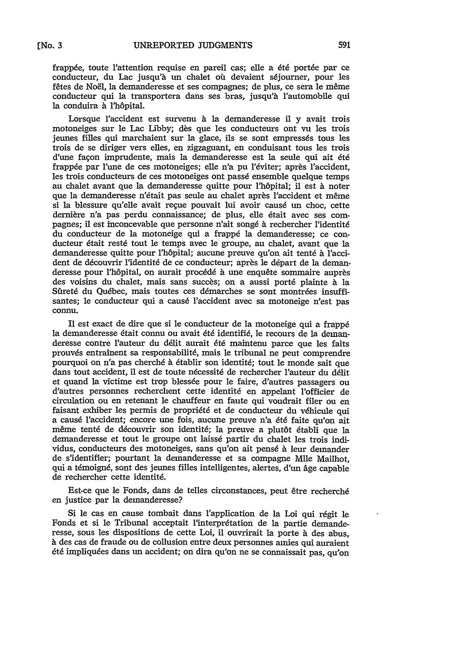frappée, toute l'attention requise en pareil cas; elle a été portée par ce conducteur, du Lac jusqu'à un chalet où devaient séjourner, pour les fêtes de Noël, la demanderesse et ses compagnes; de plus, ce sera le même conducteur qui la transportera dans ses bras, jusqu'à l'automobile qui la conduira à l'hôpital.

Lorsque l'accident est survenu à la demanderesse il y avait trois motoneiges sur le Lac Libby; dès que les conducteurs ont vu les trois jeunes filles qui marchaient sur la glace, ils se sont empressés tous les trois de se diriger vers elles, en zigzaguant, en conduisant tous les trois d'une façon imprudente, mais la demanderesse est la seule qui ait été frappée par l'une de ces motoneiges; elle n'a pu l'éviter; après l'accident, les trois conducteurs de ces motoneiges ont passé ensemble quelque temps au chalet avant que la demanderesse quitte pour l'hôpital; il est à noter que la demanderesse n'était pas seule au chalet après l'accident et même si la blessure qu'elle avait reçue pouvait lui avoir causé un choc, cette dernière n'a pas perdu connaissance; de plus, elle était avec ses compagnes; il est inconcevable que personne n'ait songé à rechercher l'identité du conducteur de la motoneige qui a frappé la demanderesse; ce conducteur était resté tout le temps avec le groupe, au chalet, avant que la demanderesse quitte pour 'h6pital; aucune preuve qu'on ait tentd **i** l'accident de découvrir l'identité de ce conducteur; après le départ de la demanderesse pour l'hôpital, on aurait procédé à une enquête sommaire auprès des voisins du chalet, mais sans succès; on a aussi porté plainte à la Sûreté du Québec, mais toutes ces démarches se sont montrées insuffisantes; le conducteur qui a causé l'accident avec sa motoneige n'est pas connu.

II est exact de dire que si le conducteur de la motoneige qui a frapp6 la demanderesse 6tait connu ou avait 6t6 identifi6, le recours de la demanderesse contre l'auteur du délit aurait été maintenu parce que les faits prouvés entraînent sa responsabilité, mais le tribunal ne peut comprendre pourquoi on n'a pas cherché à établir son identité; tout le monde sait que dans tout accident, il est de toute nécessité de rechercher l'auteur du délit et quand la victime est trop blessée pour le faire, d'autres passagers ou d'autres personnes recherchent cette identité en appelant l'officier de circulation ou en retenant le chauffeur en faute qui voudrait filer ou en faisant exhiber les permis de propriété et de conducteur du véhicule qui a causé l'accident; encore une fois, aucune preuve n'a été faite qu'on ait même tenté de découvrir son identité; la preuve a plutôt établi que la demanderesse et tout le groupe ont laissé partir du chalet les trois individus, conducteurs des motoneiges, sans qu'on ait pensé à leur demander de s'identifier; pourtant la demanderesse et sa compagne Mile Mailhot, qui a témoigné, sont des jeunes filles intelligentes, alertes, d'un âge capable de rechercher cette identit6.

Est-ce que le Fonds, dans de telles circonstances, peut 6tre recherch6 en justice par la demanderesse?

Si le cas en cause tombait dans l'application de la Loi qui régit le Fonds et si le Tribunal acceptait l'interprétation de la partie demanderesse, sous les dispositions de cette Loi, il ouvrirait la porte à des abus, h des cas de fraude ou de collusion entre deux personnes amies qui auraient été impliquées dans un accident; on dira qu'on ne se connaissait pas, qu'on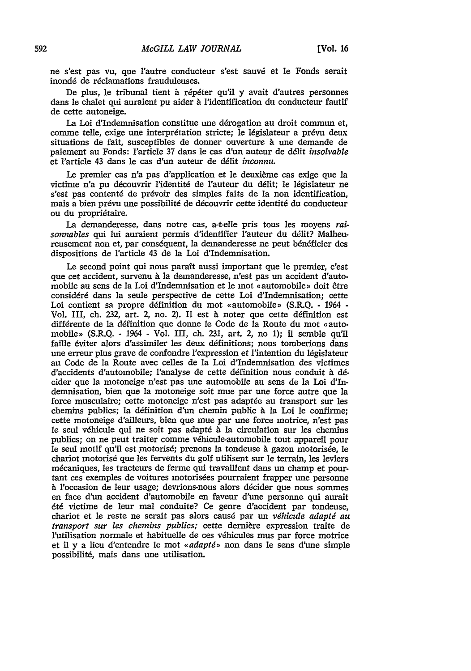ne s'est pas vu, que l'autre conducteur s'est sauvé et le Fonds serait inondé de réclamations frauduleuses.

De plus, le tribunal tient *h r6p6ter* qu'il y avait d'autres personnes dans le chalet qui auraient pu aider à l'identification du conducteur fautif de cette autoneige.

La Loi d'Indemnisation constitue une dérogation au droit commun et. comme telle, exige une interprétation stricte; le législateur a prévu deux situations de fait, susceptibles de donner ouverture à une demande de paiement au Fonds: l'article 37 dans le cas d'un auteur de délit *insolvable* et l'article 43 dans le cas d'un auteur de d6lit *inconnu.*

Le premier cas n'a pas d'application et le deuxième cas exige que la victime n'a pu découvrir l'identité de l'auteur du délit; le législateur ne s'est pas contenté de prévoir des simples faits de la non identification, mais a bien prévu une possibilité de découvrir cette identité du conducteur ou du propriétaire.

La demanderesse, dans notre cas, a-t-elle pris tous les moyens *rai*sonnables qui lui auraient permis d'identifier l'auteur du délit? Malheureusement non et, par conséquent, la demanderesse ne peut bénéficier des dispositions de Particle 43 de la Loi d'Indemnisation.

Le second point qui nous parait aussi important que le premier, c'est que cet accident, survenu **A** la demanderesse, n'est pas un accident d'automobile au sens de la Loi d'Indemnisation et le mot «automobile» doit être considéré dans la seule perspective de cette Loi d'Indemnisation; cette Loi contient sa propre définition du mot «automobile» (S.R.Q. - 1964 -Vol. III, ch. 232, art. 2, no. 2). Il est à noter que cette définition est différente de la définition que donne le Code de la Route du mot «automobile> (S.R.Q. - 1964 - Vol. III, ch. 231, art. 2, no 1); il semble qu'il faille éviter alors d'assimiler les deux définitions; nous tomberions dans une erreur plus grave de confondre l'expression et l'intention du législateur au Code de la Route avec celles de la Loi d'Indemnisation des victimes d'accidents d'automobile; l'analyse de cette définition nous conduit à décider que la motoneige n'est pas *une* automobile au sens de la Loi d'Indemnisation, bien que la motoneige soit mue par *une* force autre que la force musculaire; cette motoneige n'est pas adaptée au transport sur les chemins publics; la definition d'un chemin public **A** la Loi le confirme; cette motoneige d'ailleurs, bien que mue par une force motrice, n'est pas le seul v6hicule qui ne soit pas adaptd **A** la circulation sur les chemins publics; on ne peut traiter comme véhicule-automobile tout appareil pour le seul motif qu'il est motorisé; prenons la tondeuse à gazon motorisée, le chariot motoris6 que les fervents du golf utilisent sur le terrain, les leviers mdcaniques, les tracteurs de ferme qui travaillent dans *un* champ et pourtant ces exemples de voitures motorisées pourraient frapper une personne h 'occasion de leur usage; devrions-nous alors decider que nous sommes en face d'un accident d'automobile en faveur d'une personne qui aurait dt6 victime de leur mal conduite? Ce genre d'accident par tondeuse, chariot et le reste ne serait pas alors causé par un *véhicule adapté au transport sur les chemins publics;* cette dernière expression traite de l'utilisation normale et habituelle de ces véhicules mus par force motrice et il y a lieu d'entendre le mot *« adapté* » non dans le sens d'une simple possibilit6, mais dans une utilisation.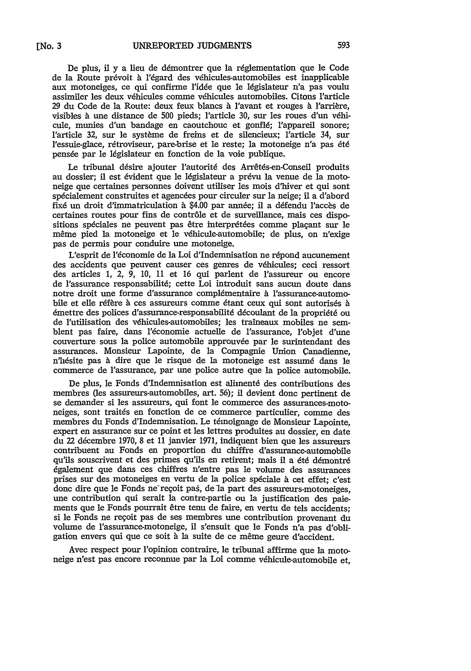**[No.** *3*

De plus, il y a lieu de démontrer que la réglementation que le Code de la Route prévoit à l'égard des véhicules-automobiles est inapplicable aux motoneiges, ce qui confirme l'idde que le ldgislateur *n'a* pas voulu assimiler les deux véhicules comme véhicules automobiles. Citons l'article 29 du Code de la Route: deux feux blancs à l'avant et rouges à l'arrière, visibles à une distance de 500 pieds; l'article 30, sur les roues d'un véhicule, munies d'un bandage en caoutchouc et gonfl6; l'appareil sonore; l'article 32, sur le système de freins et de silencieux; l'article 34, sur l'essuie-glace, rétroviseur, pare-brise et le reste; la motoneige n'a pas été pensée par le législateur en fonction de la voie publique.

Le tribunal désire ajouter l'autorité des Arrêtés-en-Conseil produits au dossier; il est évident que le législateur a prévu la venue de la motoneige que certaines personnes doivent utiliser les mois d'hiver et qui sont spécialement construites et agencées pour circuler sur la neige; il a d'abord fixé un droit d'immatriculation à \$4.00 par année; il a défendu l'accès de certaines routes pour fins de contr6le et de surveillance, mais ces dispositions spéciales ne peuvent pas être interprétées comme plaçant sur le même pied la motoneige et le véhicule-automobile; de plus, on n'exige pas de permis pour conduire une motoneige.

L'esprit de l'économie de la Loi d'Indemnisation ne répond aucunement des accidents que peuvent causer ces genres de véhicules; ceci ressort des articles  $1, 2, 9, 10, 11$  et 16 qui parlent de l'assureur ou encore de l'assurance responsabilit6; cette Loi introduit sans aucun doute dans notre droit une forme d'assurance complémentaire à l'assurance-automobile et elle réfère à ces assureurs comme étant ceux qui sont autorisés à émettre des polices d'assurance-responsabilité découlant de la propriété ou de l'utilisation des véhicules-automobiles; les traîneaux mobiles ne semblent pas faire, dans l'économie actuelle de l'assurance, l'objet d'une couverture sous la police automobile approuvée par le surintendant des assurances. Monsieur Lapointe, de la Compagnie Union Canadienne, n'hésite pas à dire que le risque de la motoneige est assumé dans le commerce de 'assurance, par une police autre que la police automobile.

De plus, le Fonds d'Indemnisation est alimenté des contributions des membres (les assureurs-automobiles, art. 56); il devient done pertinent de se demander si les assureurs, qui font le commerce des assurances-motoneiges, sont traités en fonction de ce commerce particulier, comme des membres du Fonds d'Indemnisation. Le témoignage de Monsieur Lapointe, expert en assurance sur ce point et les lettres produites au dossier, en date du 22 décembre 1970, 8 et 11 janvier 1971, indiquent bien que les assureurs contribuent au Fonds en proportion du chiffre d'assurance-automobile qu'ils souscrivent et des primes qu'ils en retirent; mais il a été démontré dgalement que dans ces chiffres n'entre pas le volume des assurances prises sur des motoneiges en vertu de la police spéciale à cet effet; c'est donc dire que le Fonds ne reçoit pas, de la part des assureurs-motoneiges, une contribution qui serait la contre-partie ou la justification des paiements que le Fonds pourrait 6tre tenu de faire, en vertu de tels accidents; si le Fonds ne regoit pas de ses membres une contribution provenant du volume de l'assurance-motoneige, il s'ensuit que le Fonds *n'a* pas d'obligation envers qui que ce soit à la suite de ce même geure d'accident.

Avec respect pour l'opinion contraire, le tribunal affirme que la motoneige n'est pas encore reconnue par la Loi comme véhicule-automobile et,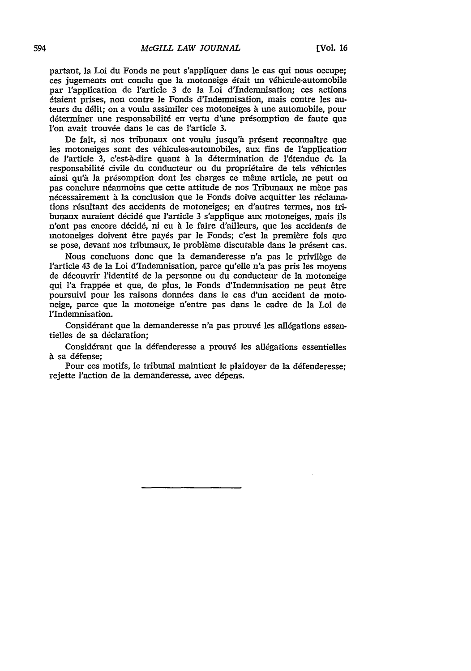partant, la Loi du Fonds ne peut s'appliquer dans le cas qui nous occupe; ces jugements ont conclu que la motoneige était un véhicule-automobile par l'application de l'article 3 de la Loi d'Indemnisation; ces actions 6taient prises, non contre le Fonds d'Indemnisation, mais contre les auteurs du ddlit; on a voulu assimiler ces motoneiges **h** une automobile, pour déterminer une responsabilité en vertu d'une présomption de faute que l'on avait trouvée dans le cas de l'article 3.

De fait, si nos tribunaux ont voulu jusqu'à présent reconnaître que les motoneiges sont des véhicules-automobiles, aux fins de l'application de 'article 3, c'est-a-dire quant & la ddtermination de 1'6tendue **&le** la responsabilité civile du conducteur ou du propriétaire de tels véhicules ainsi qu'à la présomption dont les charges ce même article, ne peut on pas conclure néanmoins que cette attitude de nos Tribunaux ne mène pas nécessairement à la conclusion que le Fonds doive acquitter les réclamations résultant des accidents de motoneiges; en d'autres termes, nos tribunaux auraient décidé que l'article 3 s'applique aux motoneiges, mais ils n'ont pas encore ddcid6, ni eu **A** le faire d'ailleurs, que les accidents de motoneiges doivent 8tre pay6s par le Fonds; c'est la premiere fois que se pose, devant nos tribunaux, le problème discutable dans le présent cas.

Nous concluons donc que la demanderesse n'a pas le privilège de l'article 43 de la Loi d'Indemnisation, parce qu'elle *n'a* pas pris les moyens de découvrir l'identité de la personne ou du conducteur de la motoneige qui l'a frappée et que, de plus, le Fonds d'Indemnisation ne peut être poursuivi pour les raisons donndes dans le cas d'un accident de motoneige, parce que la motoneige n'entre pas dans le cadre de la Loi de l'Indemnisation.

Considérant que la demanderesse n'a pas prouvé les allégations essentielles de sa déclaration;

Considérant que la défenderesse a prouvé les allégations essentielles **N** sa d6fense;

Pour ces motifs, le tribunal maintient le plaidoyer de la défenderesse; rejette l'action de la demanderesse, avec dépens.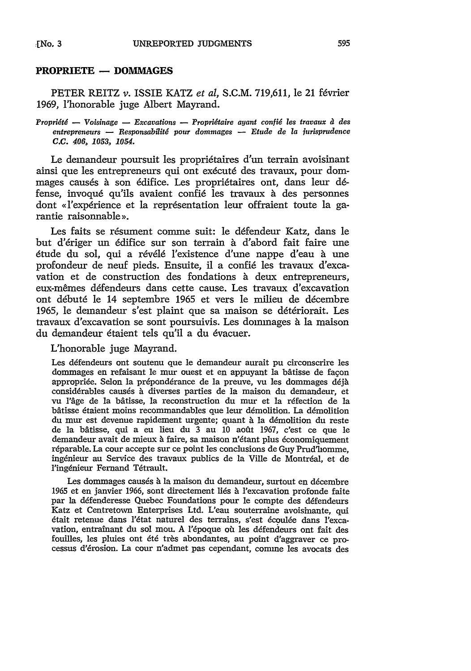### PROPRIETE **- DOMMAGES**

PETER REITZ v. ISSIE KATZ et al, S.C.M. 719,611, le 21 février 1969, l'honorable juge Albert Mayrand.

*Propriété* — *Voisinage* — *Excavations* — *Propriétaire ayant confié les travaux à des entrepreneurs* **-** *Responsabilitg pour dommages* **-** *Etude de la jurisprudence C.C. 406, 1053, 1054.*

Le demandeur poursuit les propriétaires d'un terrain avoisinant ainsi que les entrepreneurs qui ont exécuté des travaux, pour dommages causes h son 6difice. Les propri6taires ont, dans leur **d6** fense, invoqué qu'ils avaient confié les travaux à des personnes dont «l'expérience et la représentation leur offraient toute la garantie raisonnable **>.**

Les faits se résument comme suit: le défendeur Katz, dans le but d'ériger un édifice sur son terrain à d'abord fait faire une étude du sol, qui a révélé l'existence d'une nappe d'eau à une profondeur de neuf pieds. Ensuite, il a confi6 les travaux d'excavation et de construction des fondations **b** deux entrepreneurs, eux-mêmes défendeurs dans cette cause. Les travaux d'excavation ont débuté le 14 septembre 1965 et vers le milieu de décembre 1965, le demandeur s'est plaint que sa maison se détériorait. Les travaux d'excavation se sont poursuivis. Les dominages à la maison du demandeur étaient tels qu'il a du évacuer.

L'honorable juge Mayrand.

Les défendeurs ont soutenu que le demandeur aurait pu circonscrire les dommages en refaisant le mur ouest et en appuyant la bâtisse de façon appropride. Selon la preponderance de la preuve, vu les dommages **d6ja** considérables causés à diverses parties de la maison du demandeur, et vu l'âge de la bâtisse, la reconstruction du mur et la réfection de la bitisse 6taient moins recommandables que leur demolition. La demolition du mur est devenue rapidement urgente; quant à la démolition du reste de la bâtisse, qui a eu lieu du 3 au 10 août 1967, c'est ce que le demandeur avait de mieux à faire, sa maison n'étant plus économiquement réparable. La cour accepte sur ce point les conclusions de Guy Prud'homme, ingénieur au Service des travaux publics de la Ville de Montréal, et de l'ingénieur Fernand Tétrault.

Les dommages causés à la maison du demandeur, surtout en décembre 1965 et en janvier 1966, sont directement lids *h* 'excavation profonde faite par la défenderesse Quebec Foundations pour le compte des défendeurs Katz et Centretown Enterprises Ltd. L'eau souterraine avoisinante, qui était retenue dans l'état naturel des terrains, s'est écoulée dans l'excavation, entraînant du sol mou. A l'époque où les défendeurs ont fait des fouilles, les pluies ont été très abondantes, au point d'aggraver ce processus d'6rosion. La cour n'admet pas cependant, comne les avocats des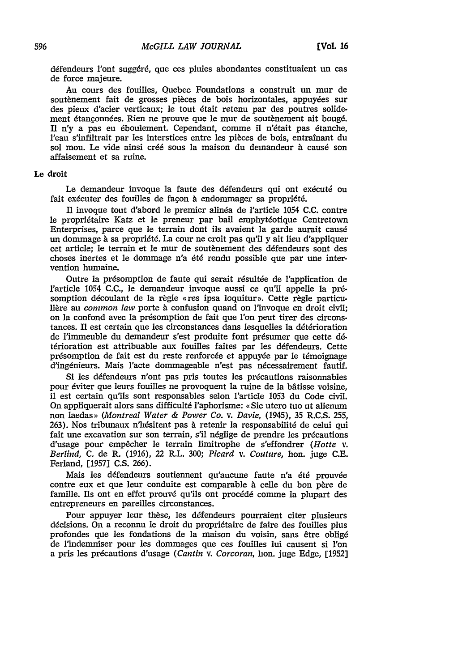défendeurs l'ont suggéré, que ces pluies abondantes constituaient un cas de force majeure.

Au cours des fouilles, Quebec Foundations a construit un mur de soutènement fait de grosses pièces de bois horizontales, appuyées sur des pieux d'acier verticaux; le tout 6tait retenu par des poutres solidement étançonnées. Rien ne prouve que le mur de soutènement ait bougé. Il n'y a pas eu éboulement. Cependant, comme il n'était pas étanche, l'eau s'infiltrait par les interstices entre les pieces de bois, entrainant du sol mou. Le vide ainsi créé sous la maison du demandeur à causé son affaisement et sa ruine.

### Le **droit**

Le demandeur invoque la faute des défendeurs qui ont exécuté ou fait exécuter des fouilles de facon à endommager sa propriété.

Il invoque tout d'abord le premier alinda de l'article 1054 C.C. contre le propriétaire Katz et le preneur par bail emphytéotique Centretown Enterprises, parce que le terrain dont ils avaient la garde aurait causé un dommage à sa propriété. La cour ne croit pas qu'il y ait lieu d'appliquer cet article; le terrain et le mur de soutènement des défendeurs sont des choses inertes et le dommage n'a 6t6 rendu possible que par une intervention humaine.

Outre la présomption de faute qui serait résultée de l'application de l'article 1054 C.C., le demandeur invoque aussi ce qu'il appelle la *pr6* somption découlant de la règle «res ipsa loquitur». Cette règle particulière au *common law* porte à confusion quand on l'invoque en droit civil; on la confond avec la présomption de fait que l'on peut tirer des circonstances. Il est certain que les circonstances dans lesquelles la détérioration de l'immeuble du demandeur s'est produite font pr6sumer que cette **d6** térioration est attribuable aux fouilles faites par les défendeurs. Cette présomption de fait est du reste renforcée et appuyée par le témoignage d'ingénieurs. Mais l'acte dommageable n'est pas nécessairement fautif.

Si les défendeurs n'ont pas pris toutes les précautions raisonnables pour éviter que leurs fouilles ne provoquent la ruine de la bâtisse voisine. il est certain qu'ils sont responsables selon l'article 1053 du Code civil. On appliquerait alors sans difficult6 l'aphorisme: < Sic utero tuo ut alienum non laedas)> *(Montreal Water & Power Co. v. Davie,* (1945), 35 R.C.S. 255, 263). Nos tribunaux n'hésitent pas à retenir la responsabilité de celui qui fait une excavation sur son terrain, s'il néglige de prendre les précautions d'usage pour empêcher le terrain limitrophe de s'effondrer *(Hotte v. Berlind,* C. de R. (1916), 22 R.L. 300; *Picard V. Couture,* hon. juge C.E. Ferland, [1957] C.S. 266).

Mais les défendeurs soutiennent qu'aucune faute n'a été prouvée contre eux et que leur conduite est comparable à celle du bon père de famille. Ils ont en effet prouvé qu'ils ont procédé comme la plupart des entrepreneurs en pareilles circonstances.

Pour appuyer leur thèse, les défendeurs pourraient citer plusieurs décisions. On a reconnu le droit du propriétaire de faire des fouilles plus profondes que les fondations de la maison du voisin, sans etre oblig6 de l'indemniser pour les dommages que ces fouilles lui causent si l'on a pris les précautions d'usage *(Cantin v. Corcoran*, hon. juge Edge, [1952]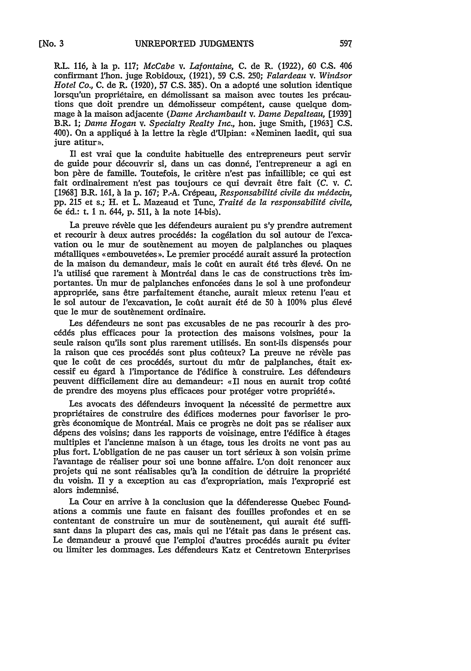R.L. 116, h la **p.** 117; *McCabe v. Lafontaine,* C. de R. (1922), **60 C.S.** 406 confirmant l'hon. juge Robidoux, (1921), 59 C.S. 250; *Falardeau v. Windsor Hotel Co., C. de R. (1920), 57 C.S. 385). On a adopté une solution identique* lorsqu'un propriétaire, en démolissant sa maison avec toutes les précautions que doit prendre un démolisseur compétent, cause quelque dommage **A** la maison adjacente *(Dame Archambault v. Dame Depalteau,* [1939] B.R. 1; *Dame Hogan v. Specialty Realty Inc.,* hon. juge Smith, [1963] C.S. 400). On a appliqué à la lettre la règle d'Ulpian: «Neminen laedit, qui sua jure atitur».

II est vrai que la conduite habituelle des entrepreneurs peut servir de guide pour découvrir si, dans un cas donné, l'entrepreneur a agi en bon père de famille. Toutefois, le critère n'est pas infaillible; ce qui est fait ordinairement n'est pas toujours ce qu devrait 6tre fait *(C.* v. *C.* [1968] B.R. 161, h la **p.** 167; P.-A. Cr6peau, *Responsabilitg civile du midecin,* **pp.** 215 et s.; H. et L. Mazeaud et Tunc, *Traitd de la responsabilitd civile,* 6e 6d.: t. 1 n. 644, p. 511, *h* la note 14-bis).

La preuve révèle que les défendeurs auraient pu s'y prendre autrement et recourir h deux autres proc6d6s: la cog61ation du sol autour de l'excavation ou le mur de soutènement au moyen de palplanches ou plaques métalliques «embouvetées». Le premier procédé aurait assuré la protection de la maison du demandeur, mais le coût en aurait été très élevé. On ne *l'a utilisé que rarement à Montréal dans le cas de constructions très im*portantes. Un mur de palplanches enfoncées dans le sol à une profondeur appropride, sans 6tre parfaitement 6tanche, aurait mieux retenu l'eau et le sol autour de l'excavation, le coût aurait été de 50 à 100% plus élevé que le mur de soutènement ordinaire.

Les défendeurs ne sont pas excusables de ne pas recourir à des proc6d6s plus efficaces pour la protection des maisons voisines, pour la seule raison qu'ils sont plus rarement utilisés. En sont-ils dispensés pour la raison que ces procédés sont plus coûteux? La preuve ne révèle pas que le coût de ces procédés, surtout du mûr de palplanches, était excessif eu égard à l'importance de l'édifice à construire. Les défendeurs peuvent difficilement dire au demandeur: «Il nous en aurait trop coûté de prendre des moyens plus efficaces pour protéger votre propriété».

Les avocats des défendeurs invoquent la nécessité de permettre aux propri6taires de construire des 6difices modernes pour favoriser le progrès économique de Montréal. Mais ce progrès ne doit pas se réaliser aux dépens des voisins; dans les rapports de voisinage, entre l'édifice à étages multiples et 'ancienne maison *h* un 6tage, tous les droits ne vont pas au plus fort. L'obligation de ne pas causer un tort s6rieux **b** son voisin prime l'avantage de réaliser pour soi une bonne affaire. L'on doit renoncer aux projets qui ne sont réalisables qu'à la condition de détruire la propriété du voisin. II y a exception au cas d'expropriation, mais l'expropri6 est alors indemnisé.

La Cour en arrive à la conclusion que la défenderesse Quebec Foundations a commis une faute en faisant des foulles profondes et en se contentant de construire un mur de soutènement, qui aurait été suffisant dans la plupart des cas, mais qui ne l'était pas dans le présent cas. Le demandeur a prouvé que l'emploi d'autres procédés aurait pu éviter ou limiter les dommages. Les défendeurs Katz et Centretown Enterprises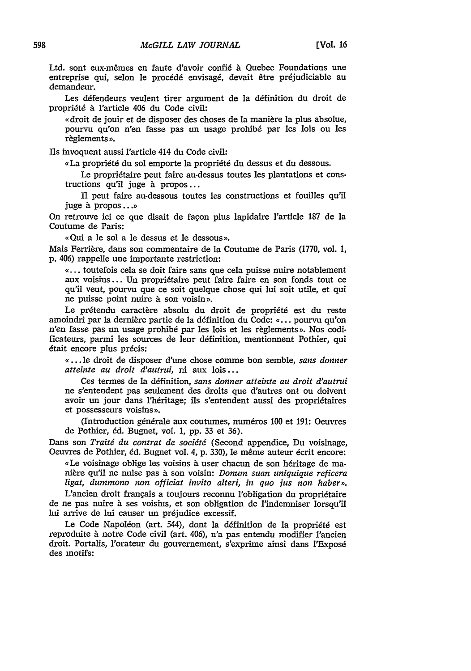Ltd. sont eux-mêmes en faute d'avoir confié à Quebec Foundations une entreprise qui, selon le procédé envisagé, devait être préjudiciable au demandeur.

Les défendeurs veulent tirer argument de la définition du droit de propriété à l'article 406 du Code civil:

« droit de jouir et de disposer des choses de la manière la plus absolue, pourvu qu'on n'en fasse pas un usage prohib6 par les lois ou les règlements ».

Ils invoquent aussi l'article 414 du Code civil:

«La propriété du sol emporte la propriété du dessus et du dessous.

Le propriétaire peut faire au-dessus toutes les plantations et cons $tractions$  qu'il juge à propos...

**f1** peut faire au-dessous toutes les constructions et fouilles qu'il juge à propos...»

On retrouve ici ce que disait de facon plus lapidaire l'article 187 de la Coutume de Paris:

«Qui a le sol a le dessus et le dessous».

Mais Ferrière, dans son commentaire de la Coutume de Paris (1770, vol. 1, **p.** 406) rappelle une importante restriction:

a... toutefois cela se doit faire sans que cela puisse nuire notablement aux voisins ... Un propriétaire peut faire faire en son fonds tout ce qu'il veut, pourvu que ce soit quelque chose qui lui soit utile, et qui ne puisse point nuire à son voisin».

Le prétendu caractère absolu du droit de propriété est du reste amoindri par la dernière partie de la définition du Code: «... pourvu qu'on n'en fasse pas un usage prohibé par les lois et les règlements ». Nos codificateurs, parmi les sources de leur définition, mentionnent Pothier, qui était encore plus précis:

**o ...** le droit de disposer d'une chose comme bon semble, *sans donner atteinte au droit d'autrui,* ni aux lois...

Ces termes de la ddfinition, *sans donner atteinte au droit d'autrui* ne s'entendent pas seulement des droits que d'autres ont ou doivent avoir un jour dans l'héritage; ils s'entendent aussi des propriétaires et possesseurs voisins».

(Introduction gdn6rale aux coutumes, num6ros **100** et **191:** Oeuvres de Pothier, **6d.** Bugnet, vol. **1,** pp. 33 et 36).

Dans son *Traitd du contrat de socidtd* (Second appendice, Du voisinage, Oeuvres de Pothier, éd. Bugnet vol. 4, p. 330), le même auteur écrit encore:

*,,Le* voisinage oblige les voisins **b** user chacun de son h6ritage de manière qu'il ne nuise pas à son voisin: *Donum suan uniquique reficera* ligat, dummono non officiat invito alteri, in quo jus non haber».

L'ancien droit français a toujours reconnu l'obligation du propriétaire de ne pas nuire à ses voisins, et son obligation de l'indemniser lorsqu'il lui arrive de lui causer un préjudice excessif.

Le Code Napoléon (art. 544), dont la définition de la propriété est reproduite **6.** notre Code civil (art. 406), n'a pas entendu modifier l'ancien droit. Portalis, l'orateur du gouvernement, s'exprime ainsi dans l'Exposé des motifs: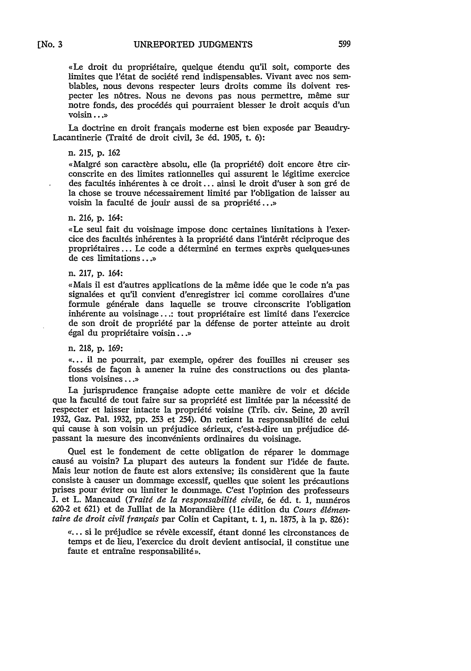«Le droit du propriétaire, quelque étendu qu'il soit, comporte des limites que l'état de société rend indispensables. Vivant avec nos semblables, nous devons respecter leurs droits comme ils doivent respecter les nôtres. Nous ne devons pas nous permettre, même sur notre fonds, des procédés qui pourraient blesser le droit acquis d'un voisin...)

La doctrine en droit francais moderne est bien exposée par Beaudry-Lacantinerie (Trait6 de droit civil, 3e *6d.* **1905,** t. **6):**

#### n. 215, **p. 162**

«Malgré son caractère absolu, elle (la propriété) doit encore être circonscrite en des limites rationnelles qui assurent le légitime exercice des facultés inhérentes à ce droit... ainsi le droit d'user à son gré de la chose se trouve nécessairement limité par l'obligation de laisser au voisin la faculté de jouir aussi de sa propriété...»

#### n. 216, p. 164:

xLe seul fait du voisinage impose donc certaines limitations **h** l'exercice des facultés inhérentes à la propriété dans l'intérêt réciproque des propriétaires ... Le code a déterminé en termes exprès quelques-unes de ces limitations **... )**

#### n. 217, p. 164:

«Mais il est d'autres applications de la même idée que le code n'a pas signalées et qu'il convient d'enregistrer ici comme corollaires d'une formule générale dans laquelle se trouve circonscrite l'obligation inhérente au voisinage...: tout propriétaire est limité dans l'exercice de son droit de propriété par la défense de porter atteinte au droit égal du propriétaire voisin...»

n. 218, p. 169:

«... il ne pourrait, par exemple, opérer des fouilles ni creuser ses fossés de façon à amener la ruine des constructions ou des plantations voisines ... »

La jurisprudence française adopte cette manière de voir et décide que la faculté de tout faire sur sa propriété est limitée par la nécessité de respecter et laisser intacte la propriété voisine (Trib. civ. Seine, 20 avril 1932, Gaz. Pal. 1932, pp. 253 et 254). On retient la responsabilité de celui qui cause à son voisin un préjudice sérieux, c'est-à-dire un préjudice dépassant la mesure des inconvénients ordinaires du voisinage.

Quel est le fondement de cette obligation de réparer le dommage causé au voisin? La plupart des auteurs la fondent sur l'idée de faute. Mais leur notion de faute est alors extensive; ils considèrent que la faute consiste à causer un dommage excessif, quelles que soient les précautions prises pour éviter ou limiter le dommage. C'est l'opimon des professeurs **J.** et L. Mancaud *(Traité de la responsabilité civile*, 6e éd. t. 1, numéros 620-2 et 621) et de Julliat de la Morandière (11e édition du Cours élémen*taire de droit civil français* par Colin et Capitant, t. 1, n. 1875, à la p. 826):

«... si le préjudice se révèle excessif, étant donné les circonstances de temps et de lieu, 'exercice du droit devient antisocial, il constitue une faute et entraîne responsabilité».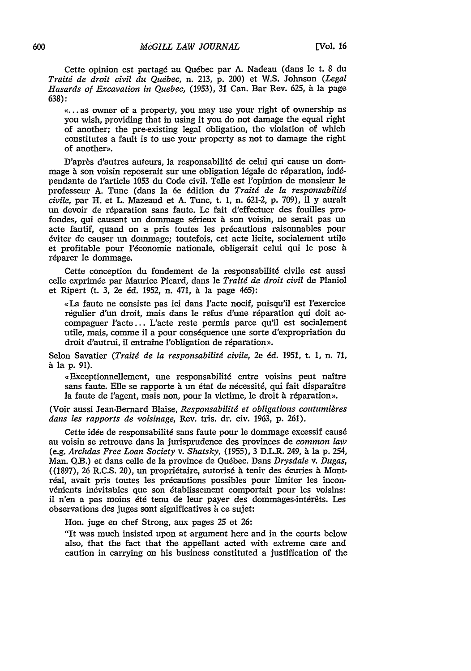Cette opinion est partag6 au Qu6bec par A. Nadeau (dans le t. 8 du *Traitd de droit civil du Qudbec,* n. 213, p. 200) et W.S. Johnson *(Legal Hasards of Excavation in Quebec,* (1953), 31 Can. Bar Rev. 625, à la page 638):

«... as owner of a property, you may use your right of ownership as you wish, providing that in using it you do not damage the equal right of another; the pre-existing legal obligation, the violation of which constitutes a fault is to use your property as not to damage the right of another».

D'après d'autres auteurs, la responsabilité de celui qui cause un dommage à son voisin reposerait sur une obligation légale de réparation, indépendante de l'article 1053 du Code civil. Telle est l'opinion de monsieur le professeur A. Tunc (dans la 6e 6dition du *Traitd de la responsabilitd civile,* par H. et L. Mazeaud et A. Tunc, t. 1, n. 621-2, p. 709), il y aurait un devoir de réparation sans faute. Le fait d'effectuer des fouilles profondes, qui causent un dommage sérieux à son voisin, ne serait pas un acte fautif, quand on a pris toutes les précautions raisonnables pour 6viter de causer un dommage; toutefois, cet acte licite, socialement utile et profitable pour l'économie nationale, obligerait celui qui le pose à réparer le dommage.

Cette conception du fondement de la responsabilité civile est aussi celle exprimée par Maurice Picard, dans le *Traité de droit civil* de Planiol et Ripert (t. 3, 2e éd. 1952, n. 471, à la page 465):

,La faute ne consiste pas ici dans 'acte nocif, puisqu'il est 1'exercice régulier d'un droit, mais dans le refus d'une réparation qui doit accompaguer l'acte... L'acte reste permis parce qu'il est socialement utile, mais, comme il a pour conséquence une sorte d'expropriation du droit d'autrui, il entraîne l'obligation de réparation».

Selon Savatier *(Traitg de la responsabilitd civile,* 2e *6d.* 1951, t. 1, n. 71, à la p. 91).

«Exceptionnellement, une responsabilité entre voisins peut naître sans faute. Elle se rapporte à un état de nécessité, qui fait disparaître la faute de l'agent, mais non, pour la victime, le droit à réparation».

(Voir aussi Jean-Bernard Blaise, *Responsabilitg et obligations coutumigres dans les rapports de voisinage,* Rev. tris. dr. civ. 1963, p. 261).

Cette idée de responsabilité sans faute pour le dommage excessif causé au voisin se retrouve dans la jurisprudence des provinces de *common law* (e.g. *Archdas Free Loan Society v. Shatsky,* (1955), 3 D.L.R. 249, **At** la p. 254, Man. Q.B.) et dans celle de la province de Qudbec. Dans *Drysdale v. Dugas,* ((1897), 26 R.C.S. 20), un propriétaire, autorisé à tenir des écuries à Montréal, avait pris toutes les précautions possibles pour limiter les inconvéments inévitables que son établissement comportait pour les voisins: il n'en a pas moins été tenu de leur payer des dommages-intérêts. Les observations des juges sont significatives à ce sujet:

Hon. juge en chef Strong, aux pages 25 et 26:

"It was much insisted upon at argument here and in the courts below also, that the fact that the appellant acted with extreme care and caution in carrying on his business constituted a justification of the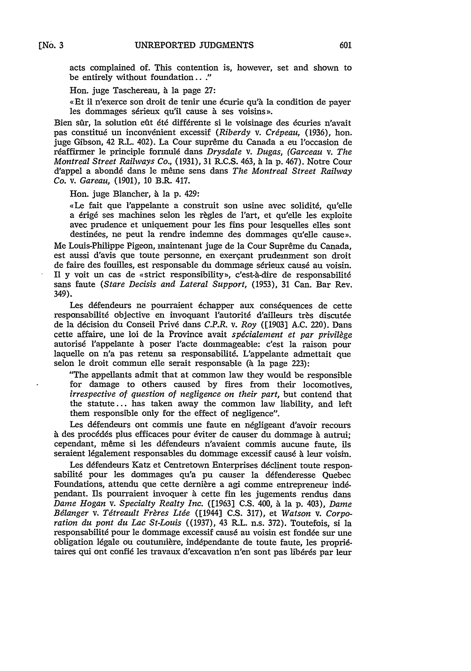acts complained of. This contention is, however, set and shown to be entirely without foundation..."

Hon. juge Taschereau, à la page 27:

« Et il n'exerce son droit de tenir une écurie qu'à la condition de payer les dommages sérieux qu'il cause à ses voisins ».

Bien sûr, la solution eût été différente si le voisinage des écuries n'avait pas constitué un inconvénient excessif (Riberdy v. Crépeau, (1936), hon. juge Gibson, 42 R.L. 402). La Cour suprême du Canada a eu l'occasion de réaffirmer le principle formulé dans *Drysdale v. Dugas, (Garceau v. The Montreal Street Railways Co.,* (1931), 31 R.C.S. 463, **6** la p. 467). Notre Cour d'appel a abondé dans le même sens dans *The Montreal Street Railway Co. v. Gareau,* (1901), **10** B.R. 417.

Hon. juge Blancher, à la p. 429:

«Le fait que l'appelante a construit son usine avec solidité, qu'elle a érigé ses machines selon les règles de l'art, et qu'elle les exploite avec prudence et uniquement pour les fins pour lesquelles elles sont destinées, ne peut la rendre indemne des dommages qu'elle cause».

Me Louis-Philippe Pigeon, maintenant juge de la Cour Supreme du Canada, est aussi d'avis que toute personne, en exergant prudemment son droit de faire des fouilles, est responsable du dommage sérieux causé au voisin. Il y voit un cas de «strict responsibility», c'est-à-dire de responsabilité sans faute *(Stare Decisis and Lateral Support,* (1953), 31 Can. Bar Rev. 349).

Les défendeurs ne pourraient échapper aux conséquences de cette responsabilité objective en invoquant l'autorité d'ailleurs très discutée de la d6cision du Conseil Priv6 dans *C.P.R. v. Roy* ([1903] A.C. 220). Dans cette affaire, une loi de la Province avait *spdcialement et par privilege* autorisé l'appelante à poser l'acte dommageable: c'est la raison pour laquelle on n'a pas retenu sa responsabilité. L'appelante admettait que selon le droit commun elle serait responsable (à la page 223):

"The appellants admit that at common law they would be responsible for damage to others caused by fires from their locomotives, *irrespective of question of negligence on their part,* but contend that the statute... has taken away the common law liability, and left them responsible only for the effect of negligence".

Les défendeurs ont commis une faute en négligeant d'avoir recours à des procédés plus efficaces pour éviter de causer du dommage à autrui; cependant, même si les défendeurs n'avaient commis aucune faute, ils seraient légalement responsables du dommage excessif causé à leur voisin.

Les défendeurs Katz et Centretown Enterprises déclinent toute responsabilité pour les dommages qu'a pu causer la défenderesse Quebec Foundations, attendu que cette dernière a agi comme entrepreneur indépendant. Ils pourraient invoquer à cette fin les jugements rendus dans *Dame Hogan v. Specialty Realty Inc.* ([1963] C.S. 400, *t* la p. 403), *Dame* Bélanger v. Tétreault Frères Ltée ([1944] C.S. 317), et *Watson v. Corporation du pont du Lac St-Louis* ((1937), 43 R.L. n.s. 372). Toutefois, si la responsabilité pour le dommage excessif causé au voisin est fondée sur une obligation légale ou coutumière, indépendante de toute faute, les propriétaires qui ont confié les travaux d'excavation n'en sont pas libérés par leur